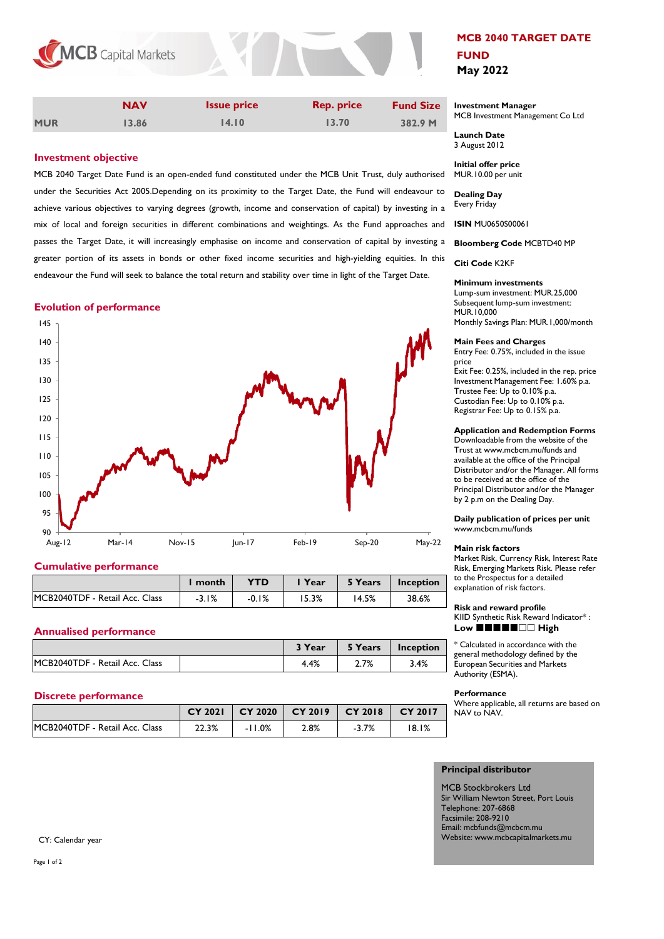

|            | <b>NAV</b> | <b>Issue price</b> | <b>Rep. price</b> | <b>Fund Size</b> |
|------------|------------|--------------------|-------------------|------------------|
| <b>MUR</b> | 13.86      | 14.10              | 13.70             | 382.9 M          |

# **Investment objective**

MCB 2040 Target Date Fund is an open-ended fund constituted under the MCB Unit Trust, duly authorised under the Securities Act 2005.Depending on its proximity to the Target Date, the Fund will endeavour to achieve various objectives to varying degrees (growth, income and conservation of capital) by investing in a mix of local and foreign securities in different combinations and weightings. As the Fund approaches and passes the Target Date, it will increasingly emphasise on income and conservation of capital by investing a greater portion of its assets in bonds or other fixed income securities and high-yielding equities. In this endeavour the Fund will seek to balance the total return and stability over time in light of the Target Date.

# **Evolution of performance**



# **Cumulative performance**

|                                | month   | YTD     | Year | 5 Years | Inception |
|--------------------------------|---------|---------|------|---------|-----------|
| MCB2040TDF - Retail Acc. Class | $-3.1%$ | $-0.1%$ | 5.3% | '4.5%   | 38.6%     |

## **Annualised performance**

|                                | <sup>2</sup> Year | 5 Years | Inception |
|--------------------------------|-------------------|---------|-----------|
| MCB2040TDF - Retail Acc. Class | 4.4%              | 2.7%    | 3.4%      |

# **Discrete performance**

|                                | <b>CY 2021</b> | $CY$ 2020 | CY 2019 | CY 2018 | CY 2017 |
|--------------------------------|----------------|-----------|---------|---------|---------|
| MCB2040TDF - Retail Acc. Class | 22.3%          | $-11.0%$  | 2.8%    | $-3.7%$ | 18.1%   |

# **MCB 2040 TARGET DATE FUND May 2022**

### **Investment Manager**  MCB Investment Management Co Ltd

**Launch Date** 3 August 2012

**Initial offer price** MUR.10.00 per unit

**Dealing Day** Every Friday

**ISIN** MU0650S00061

**Bloomberg Code** MCBTD40 MP

**Citi Code** K2KF

### **Minimum investments**

Lump-sum investment: MUR.25,000 Subsequent lump-sum investment: MUR.10,000 Monthly Savings Plan: MUR.1,000/month

## **Main Fees and Charges**

Entry Fee: 0.75%, included in the issue price Exit Fee: 0.25%, included in the rep. price Investment Management Fee: 1.60% p.a. Trustee Fee: Up to 0.10% p.a. Custodian Fee: Up to 0.10% p.a. Registrar Fee: Up to 0.15% p.a.

## **Application and Redemption Forms**

Downloadable from the website of the Trust at www.mcbcm.mu/funds and available at the office of the Principal Distributor and/or the Manager. All forms to be received at the office of the Principal Distributor and/or the Manager by 2 p.m on the Dealing Day.

**Daily publication of prices per unit** www.mcbcm.mu/funds

#### **Main risk factors**

Market Risk, Currency Risk, Interest Rate Risk, Emerging Markets Risk. Please refer to the Prospectus for a detailed explanation of risk factors.

#### **Risk and reward profile**

KIID Synthetic Risk Reward Indicator\* : Low **HHHHHHHH** High

\* Calculated in accordance with the general methodology defined by the European Securities and Markets Authority (ESMA).

#### **Performance**

Where applicable, all returns are based on NAV to NAV.

## **Principal distributor**

MCB Stockbrokers Ltd Sir William Newton Street, Port Louis Telephone: 207-6868 Facsimile: 208-9210 Email: mcbfunds@mcbcm.mu Website: www.mcbcapitalmarkets.mu

CY: Calendar year

Page 1 of 2